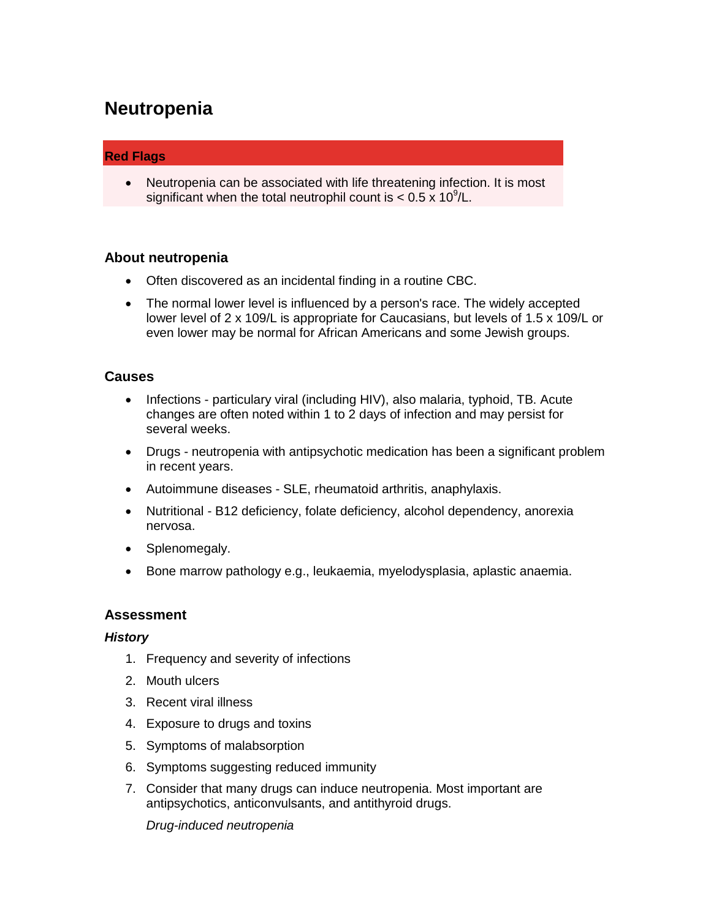# **Neutropenia**

## **Red Flags**

 Neutropenia can be associated with life threatening infection. It is most significant when the total neutrophil count is  $< 0.5 \times 10^9$ /L.

## **About neutropenia**

- Often discovered as an incidental finding in a routine CBC.
- The normal lower level is influenced by a person's race. The widely accepted lower level of 2 x 109/L is appropriate for Caucasians, but levels of 1.5 x 109/L or even lower may be normal for African Americans and some Jewish groups.

#### **Causes**

- Infections particulary viral (including HIV), also malaria, typhoid, TB. Acute changes are often noted within 1 to 2 days of infection and may persist for several weeks.
- Drugs neutropenia with antipsychotic medication has been a significant problem in recent years.
- Autoimmune diseases SLE, rheumatoid arthritis, anaphylaxis.
- Nutritional B12 deficiency, folate deficiency, alcohol dependency, anorexia nervosa.
- Splenomegaly.
- Bone marrow pathology e.g., leukaemia, myelodysplasia, aplastic anaemia.

## **Assessment**

#### *History*

- 1. Frequency and severity of infections
- 2. Mouth ulcers
- 3. Recent viral illness
- 4. Exposure to drugs and toxins
- 5. Symptoms of malabsorption
- 6. Symptoms suggesting reduced immunity
- 7. Consider that many drugs can induce neutropenia. Most important are antipsychotics, anticonvulsants, and antithyroid drugs.

*Drug-induced neutropenia*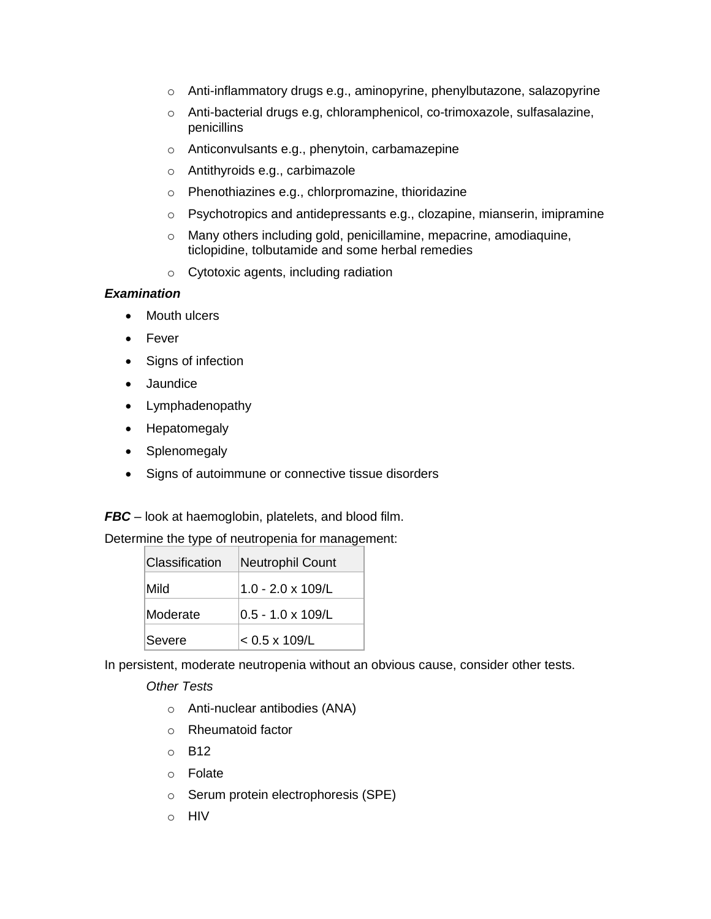- o Anti-inflammatory drugs e.g., aminopyrine, phenylbutazone, salazopyrine
- o Anti-bacterial drugs e.g, chloramphenicol, co-trimoxazole, sulfasalazine, penicillins
- o Anticonvulsants e.g., phenytoin, carbamazepine
- o Antithyroids e.g., carbimazole
- o Phenothiazines e.g., chlorpromazine, thioridazine
- o Psychotropics and antidepressants e.g., clozapine, mianserin, imipramine
- o Many others including gold, penicillamine, mepacrine, amodiaquine, ticlopidine, tolbutamide and some herbal remedies
- o Cytotoxic agents, including radiation

#### *Examination*

- Mouth ulcers
- Fever
- Signs of infection
- Jaundice
- Lymphadenopathy
- Hepatomegaly
- Splenomegaly
- Signs of autoimmune or connective tissue disorders

*FBC* – look at haemoglobin, platelets, and blood film.

Determine the type of neutropenia for management:

| Classification | <b>Neutrophil Count</b>   |
|----------------|---------------------------|
| Mild           | $1.0 - 2.0 \times 109/L$  |
| Moderate       | $0.5 - 1.0 \times 109$ /L |
| Severe         | $< 0.5 \times 109/L$      |

In persistent, moderate neutropenia without an obvious cause, consider other tests.

*Other Tests*

- o Anti-nuclear antibodies (ANA)
- o Rheumatoid factor
- o B12
- o Folate
- o Serum protein electrophoresis (SPE)
- o HIV